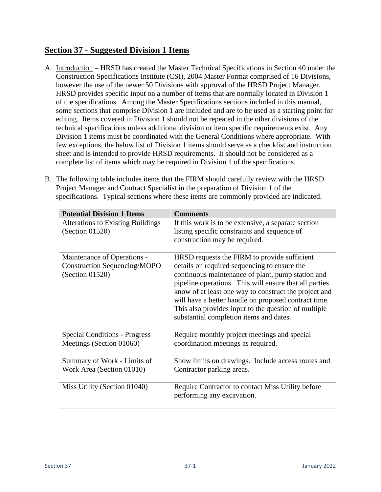## **Section 37 - Suggested Division 1 Items**

- A. Introduction HRSD has created the Master Technical Specifications in Section 40 under the Construction Specifications Institute (CSI), 2004 Master Format comprised of 16 Divisions, however the use of the newer 50 Divisions with approval of the HRSD Project Manager. HRSD provides specific input on a number of items that are normally located in Division 1 of the specifications. Among the Master Specifications sections included in this manual, some sections that comprise Division 1 are included and are to be used as a starting point for editing. Items covered in Division 1 should not be repeated in the other divisions of the technical specifications unless additional division or item specific requirements exist. Any Division 1 items must be coordinated with the General Conditions where appropriate. With few exceptions, the below list of Division 1 items should serve as a checklist and instruction sheet and is intended to provide HRSD requirements. It should not be considered as a complete list of items which may be required in Division 1 of the specifications.
- B. The following table includes items that the FIRM should carefully review with the HRSD Project Manager and Contract Specialist in the preparation of Division 1 of the specifications. Typical sections where these items are commonly provided are indicated.

| <b>Potential Division 1 Items</b>        | <b>Comments</b>                                                                                                                                                                                                                                                                                                                 |
|------------------------------------------|---------------------------------------------------------------------------------------------------------------------------------------------------------------------------------------------------------------------------------------------------------------------------------------------------------------------------------|
| <b>Alterations to Existing Buildings</b> | If this work is to be extensive, a separate section                                                                                                                                                                                                                                                                             |
| (Section 01520)                          | listing specific constraints and sequence of                                                                                                                                                                                                                                                                                    |
|                                          | construction may be required.                                                                                                                                                                                                                                                                                                   |
|                                          |                                                                                                                                                                                                                                                                                                                                 |
| Maintenance of Operations -              | HRSD requests the FIRM to provide sufficient                                                                                                                                                                                                                                                                                    |
| <b>Construction Sequencing/MOPO</b>      | details on required sequencing to ensure the                                                                                                                                                                                                                                                                                    |
| (Section 01520)                          | continuous maintenance of plant, pump station and<br>pipeline operations. This will ensure that all parties<br>know of at least one way to construct the project and<br>will have a better handle on proposed contract time.<br>This also provides input to the question of multiple<br>substantial completion items and dates. |
| <b>Special Conditions - Progress</b>     | Require monthly project meetings and special                                                                                                                                                                                                                                                                                    |
| Meetings (Section 01060)                 | coordination meetings as required.                                                                                                                                                                                                                                                                                              |
| Summary of Work - Limits of              | Show limits on drawings. Include access routes and                                                                                                                                                                                                                                                                              |
| Work Area (Section 01010)                | Contractor parking areas.                                                                                                                                                                                                                                                                                                       |
| Miss Utility (Section 01040)             | Require Contractor to contact Miss Utility before<br>performing any excavation.                                                                                                                                                                                                                                                 |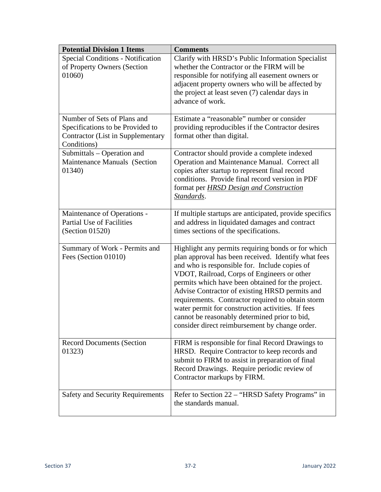| <b>Potential Division 1 Items</b>                                                                                   | <b>Comments</b>                                                                                                                                                                                                                                                                                                                                                                                                                                                                                                               |
|---------------------------------------------------------------------------------------------------------------------|-------------------------------------------------------------------------------------------------------------------------------------------------------------------------------------------------------------------------------------------------------------------------------------------------------------------------------------------------------------------------------------------------------------------------------------------------------------------------------------------------------------------------------|
| <b>Special Conditions - Notification</b><br>of Property Owners (Section<br>01060)                                   | Clarify with HRSD's Public Information Specialist<br>whether the Contractor or the FIRM will be<br>responsible for notifying all easement owners or<br>adjacent property owners who will be affected by<br>the project at least seven (7) calendar days in<br>advance of work.                                                                                                                                                                                                                                                |
| Number of Sets of Plans and<br>Specifications to be Provided to<br>Contractor (List in Supplementary<br>Conditions) | Estimate a "reasonable" number or consider<br>providing reproducibles if the Contractor desires<br>format other than digital.                                                                                                                                                                                                                                                                                                                                                                                                 |
| Submittals – Operation and<br>Maintenance Manuals (Section<br>01340)                                                | Contractor should provide a complete indexed<br>Operation and Maintenance Manual. Correct all<br>copies after startup to represent final record<br>conditions. Provide final record version in PDF<br>format per <b>HRSD</b> Design and Construction<br>Standards.                                                                                                                                                                                                                                                            |
| Maintenance of Operations -<br><b>Partial Use of Facilities</b><br>(Section 01520)                                  | If multiple startups are anticipated, provide specifics<br>and address in liquidated damages and contract<br>times sections of the specifications.                                                                                                                                                                                                                                                                                                                                                                            |
| Summary of Work - Permits and<br>Fees (Section 01010)                                                               | Highlight any permits requiring bonds or for which<br>plan approval has been received. Identify what fees<br>and who is responsible for. Include copies of<br>VDOT, Railroad, Corps of Engineers or other<br>permits which have been obtained for the project.<br>Advise Contractor of existing HRSD permits and<br>requirements. Contractor required to obtain storm<br>water permit for construction activities. If fees<br>cannot be reasonably determined prior to bid,<br>consider direct reimbursement by change order. |
| <b>Record Documents (Section</b><br>01323)                                                                          | FIRM is responsible for final Record Drawings to<br>HRSD. Require Contractor to keep records and<br>submit to FIRM to assist in preparation of final<br>Record Drawings. Require periodic review of<br>Contractor markups by FIRM.                                                                                                                                                                                                                                                                                            |
| <b>Safety and Security Requirements</b>                                                                             | Refer to Section 22 – "HRSD Safety Programs" in<br>the standards manual.                                                                                                                                                                                                                                                                                                                                                                                                                                                      |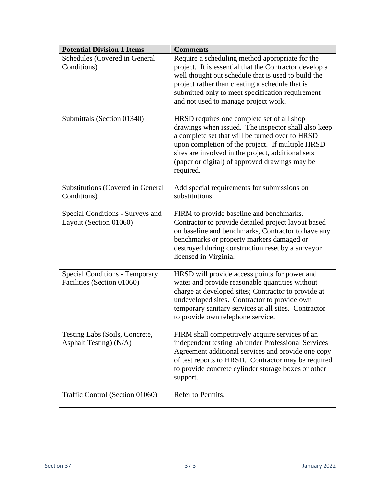| <b>Potential Division 1 Items</b>                                   | <b>Comments</b>                                                                                                                                                                                                                                                                                                               |
|---------------------------------------------------------------------|-------------------------------------------------------------------------------------------------------------------------------------------------------------------------------------------------------------------------------------------------------------------------------------------------------------------------------|
| Schedules (Covered in General<br>Conditions)                        | Require a scheduling method appropriate for the<br>project. It is essential that the Contractor develop a<br>well thought out schedule that is used to build the<br>project rather than creating a schedule that is<br>submitted only to meet specification requirement<br>and not used to manage project work.               |
| Submittals (Section 01340)                                          | HRSD requires one complete set of all shop<br>drawings when issued. The inspector shall also keep<br>a complete set that will be turned over to HRSD<br>upon completion of the project. If multiple HRSD<br>sites are involved in the project, additional sets<br>(paper or digital) of approved drawings may be<br>required. |
| Substitutions (Covered in General<br>Conditions)                    | Add special requirements for submissions on<br>substitutions.                                                                                                                                                                                                                                                                 |
| Special Conditions - Surveys and<br>Layout (Section 01060)          | FIRM to provide baseline and benchmarks.<br>Contractor to provide detailed project layout based<br>on baseline and benchmarks, Contractor to have any<br>benchmarks or property markers damaged or<br>destroyed during construction reset by a surveyor<br>licensed in Virginia.                                              |
| <b>Special Conditions - Temporary</b><br>Facilities (Section 01060) | HRSD will provide access points for power and<br>water and provide reasonable quantities without<br>charge at developed sites; Contractor to provide at<br>undeveloped sites. Contractor to provide own<br>temporary sanitary services at all sites. Contractor<br>to provide own telephone service.                          |
| Testing Labs (Soils, Concrete,<br>Asphalt Testing) (N/A)            | FIRM shall competitively acquire services of an<br>independent testing lab under Professional Services<br>Agreement additional services and provide one copy<br>of test reports to HRSD. Contractor may be required<br>to provide concrete cylinder storage boxes or other<br>support.                                        |
| Traffic Control (Section 01060)                                     | Refer to Permits.                                                                                                                                                                                                                                                                                                             |